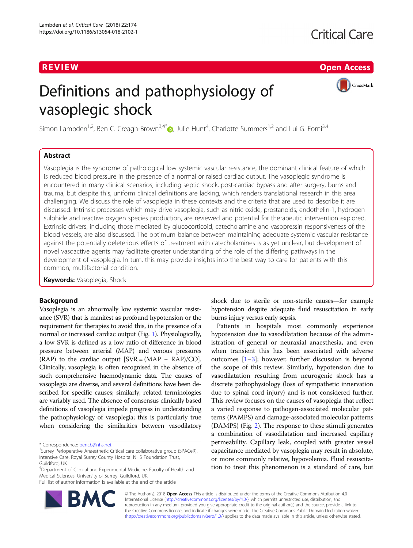R EVI EW Open Access

CrossMark

# Definitions and pathophysiology of vasoplegic shock

Simon Lambden<sup>1[,](http://orcid.org/0000-0002-4397-1232)2</sup>, Ben C. Creagh-Brown<sup>3,4\*</sup> (D., Julie Hunt<sup>4</sup>, Charlotte Summers<sup>1,2</sup> and Lui G. Forni<sup>3,4</sup>

# Abstract

Vasoplegia is the syndrome of pathological low systemic vascular resistance, the dominant clinical feature of which is reduced blood pressure in the presence of a normal or raised cardiac output. The vasoplegic syndrome is encountered in many clinical scenarios, including septic shock, post-cardiac bypass and after surgery, burns and trauma, but despite this, uniform clinical definitions are lacking, which renders translational research in this area challenging. We discuss the role of vasoplegia in these contexts and the criteria that are used to describe it are discussed. Intrinsic processes which may drive vasoplegia, such as nitric oxide, prostanoids, endothelin-1, hydrogen sulphide and reactive oxygen species production, are reviewed and potential for therapeutic intervention explored. Extrinsic drivers, including those mediated by glucocorticoid, catecholamine and vasopressin responsiveness of the blood vessels, are also discussed. The optimum balance between maintaining adequate systemic vascular resistance against the potentially deleterious effects of treatment with catecholamines is as yet unclear, but development of novel vasoactive agents may facilitate greater understanding of the role of the differing pathways in the development of vasoplegia. In turn, this may provide insights into the best way to care for patients with this common, multifactorial condition.

Keywords: Vasoplegia, Shock

# Background

Vasoplegia is an abnormally low systemic vascular resistance (SVR) that is manifest as profound hypotension or the requirement for therapies to avoid this, in the presence of a normal or increased cardiac output (Fig. [1](#page-1-0)). Physiologically, a low SVR is defined as a low ratio of difference in blood pressure between arterial (MAP) and venous pressures (RAP) to the cardiac output  $[SVR = (MAP - RAP)/CO]$ . Clinically, vasoplegia is often recognised in the absence of such comprehensive haemodynamic data. The causes of vasoplegia are diverse, and several definitions have been described for specific causes; similarly, related terminologies are variably used. The absence of consensus clinically based definitions of vasoplegia impede progress in understanding the pathophysiology of vasoplegia; this is particularly true when considering the similarities between vasodilatory

\* Correspondence: [bencb@nhs.net](mailto:bencb@nhs.net) <sup>3</sup>

Full list of author information is available at the end of the article



shock due to sterile or non-sterile causes—for example hypotension despite adequate fluid resuscitation in early burns injury versus early sepsis.

Patients in hospitals most commonly experience hypotension due to vasodilatation because of the administration of general or neuraxial anaesthesia, and even when transient this has been associated with adverse outcomes  $[1-3]$  $[1-3]$  $[1-3]$ ; however, further discussion is beyond the scope of this review. Similarly, hypotension due to vasodilatation resulting from neurogenic shock has a discrete pathophysiology (loss of sympathetic innervation due to spinal cord injury) and is not considered further. This review focuses on the causes of vasoplegia that reflect a varied response to pathogen-associated molecular patterns (PAMPS) and damage-associated molecular patterns (DAMPS) (Fig. [2\)](#page-1-0). The response to these stimuli generates a combination of vasodilatation and increased capillary permeability. Capillary leak, coupled with greater vessel capacitance mediated by vasoplegia may result in absolute, or more commonly relative, hypovolemia. Fluid resuscitation to treat this phenomenon is a standard of care, but

© The Author(s). 2018 Open Access This article is distributed under the terms of the Creative Commons Attribution 4.0 International License [\(http://creativecommons.org/licenses/by/4.0/](http://creativecommons.org/licenses/by/4.0/)), which permits unrestricted use, distribution, and reproduction in any medium, provided you give appropriate credit to the original author(s) and the source, provide a link to the Creative Commons license, and indicate if changes were made. The Creative Commons Public Domain Dedication waiver [\(http://creativecommons.org/publicdomain/zero/1.0/](http://creativecommons.org/publicdomain/zero/1.0/)) applies to the data made available in this article, unless otherwise stated.

<sup>&</sup>lt;sup>3</sup>Surrey Perioperative Anaesthetic Critical care collaborative group (SPACeR), Intensive Care, Royal Surrey County Hospital NHS Foundation Trust, Guildford, UK

<sup>&</sup>lt;sup>4</sup>Department of Clinical and Experimental Medicine, Faculty of Health and Medical Sciences, University of Surrey, Guildford, UK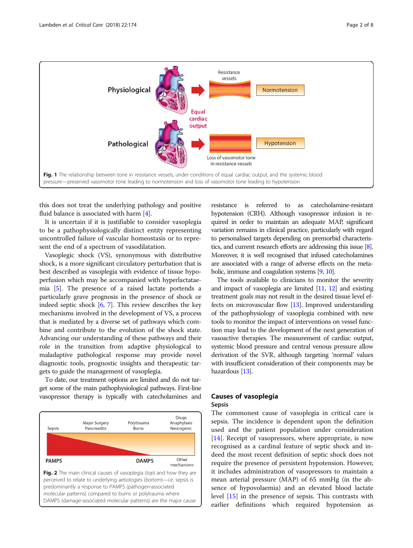<span id="page-1-0"></span>

this does not treat the underlying pathology and positive fluid balance is associated with harm [\[4\]](#page-5-0).

It is uncertain if it is justifiable to consider vasoplegia to be a pathophysiologically distinct entity representing uncontrolled failure of vascular homeostasis or to represent the end of a spectrum of vasodilatation.

Vasoplegic shock (VS), synonymous with distributive shock, is a more significant circulatory perturbation that is best described as vasoplegia with evidence of tissue hypoperfusion which may be accompanied with hyperlactataemia [[5](#page-5-0)]. The presence of a raised lactate portends a particularly grave prognosis in the presence of shock or indeed septic shock  $[6, 7]$  $[6, 7]$  $[6, 7]$ . This review describes the key mechanisms involved in the development of VS, a process that is mediated by a diverse set of pathways which combine and contribute to the evolution of the shock state. Advancing our understanding of these pathways and their role in the transition from adaptive physiological to maladaptive pathological response may provide novel diagnostic tools, prognostic insights and therapeutic targets to guide the management of vasoplegia.

To date, our treatment options are limited and do not target some of the main pathophysiological pathways. First-line vasopressor therapy is typically with catecholamines and



resistance is referred to as catecholamine-resistant hypotension (CRH). Although vasopressor infusion is required in order to maintain an adequate MAP, significant variation remains in clinical practice, particularly with regard to personalised targets depending on premorbid characteristics, and current research efforts are addressing this issue [\[8\]](#page-6-0). Moreover, it is well recognised that infused catecholamines are associated with a range of adverse effects on the metabolic, immune and coagulation systems [[9](#page-6-0), [10\]](#page-6-0).

The tools available to clinicians to monitor the severity and impact of vasoplegia are limited  $[11, 12]$  $[11, 12]$  $[11, 12]$  $[11, 12]$  and existing treatment goals may not result in the desired tissue level effects on microvascular flow [\[13\]](#page-6-0). Improved understanding of the pathophysiology of vasoplegia combined with new tools to monitor the impact of interventions on vessel function may lead to the development of the next generation of vasoactive therapies. The measurement of cardiac output, systemic blood pressure and central venous pressure allow derivation of the SVR, although targeting 'normal' values with insufficient consideration of their components may be hazardous [\[13\]](#page-6-0).

# Causes of vasoplegia Sepsis

The commonest cause of vasoplegia in critical care is sepsis. The incidence is dependent upon the definition used and the patient population under consideration [[14\]](#page-6-0). Receipt of vasopressors, where appropriate, is now recognised as a cardinal feature of septic shock and indeed the most recent definition of septic shock does not require the presence of persistent hypotension. However, it includes administration of vasopressors to maintain a mean arterial pressure (MAP) of 65 mmHg (in the absence of hypovolaemia) and an elevated blood lactate level [\[15](#page-6-0)] in the presence of sepsis. This contrasts with earlier definitions which required hypotension as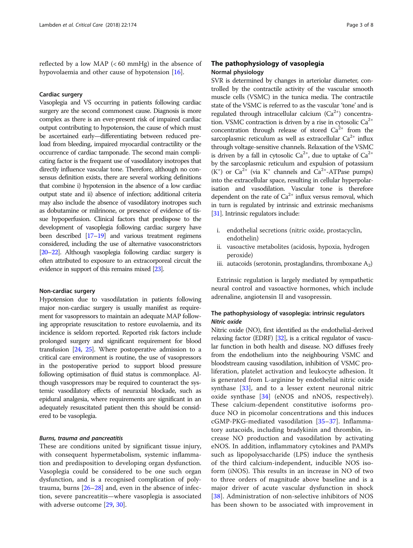reflected by a low MAP (< 60 mmHg) in the absence of hypovolaemia and other cause of hypotension [[16\]](#page-6-0).

# Cardiac surgery

Vasoplegia and VS occurring in patients following cardiac surgery are the second commonest cause. Diagnosis is more complex as there is an ever-present risk of impaired cardiac output contributing to hypotension, the cause of which must be ascertained early—differentiating between reduced preload from bleeding, impaired myocardial contractility or the occurrence of cardiac tamponade. The second main complicating factor is the frequent use of vasodilatory inotropes that directly influence vascular tone. Therefore, although no consensus definition exists, there are several working definitions that combine i) hypotension in the absence of a low cardiac output state and ii) absence of infection; additional criteria may also include the absence of vasodilatory inotropes such as dobutamine or milrinone, or presence of evidence of tissue hypoperfusion. Clinical factors that predispose to the development of vasoplegia following cardiac surgery have been described [\[17](#page-6-0)–[19\]](#page-6-0) and various treatment regimens considered, including the use of alternative vasoconstrictors [[20](#page-6-0)–[22\]](#page-6-0). Although vasoplegia following cardiac surgery is often attributed to exposure to an extracorporeal circuit the evidence in support of this remains mixed [\[23](#page-6-0)].

### Non-cardiac surgery

Hypotension due to vasodilatation in patients following major non-cardiac surgery is usually manifest as requirement for vasopressors to maintain an adequate MAP following appropriate resuscitation to restore euvolaemia, and its incidence is seldom reported. Reported risk factors include prolonged surgery and significant requirement for blood transfusion  $[24, 25]$  $[24, 25]$  $[24, 25]$ . Where postoperative admission to a critical care environment is routine, the use of vasopressors in the postoperative period to support blood pressure following optimisation of fluid status is commonplace. Although vasopressors may be required to counteract the systemic vasodilatory effects of neuraxial blockade, such as epidural analgesia, where requirements are significant in an adequately resuscitated patient then this should be considered to be vasoplegia.

#### Burns, trauma and pancreatitis

These are conditions united by significant tissue injury, with consequent hypermetabolism, systemic inflammation and predisposition to developing organ dysfunction. Vasoplegia could be considered to be one such organ dysfunction, and is a recognised complication of polytrauma, burns [[26](#page-6-0)–[28](#page-6-0)] and, even in the absence of infection, severe pancreatitis—where vasoplegia is associated with adverse outcome [[29](#page-6-0), [30](#page-6-0)].

# The pathophysiology of vasoplegia Normal physiology

SVR is determined by changes in arteriolar diameter, controlled by the contractile activity of the vascular smooth muscle cells (VSMC) in the tunica media. The contractile state of the VSMC is referred to as the vascular 'tone' and is regulated through intracellular calcium  $(Ca^{2+})$  concentration. VSMC contraction is driven by a rise in cytosolic  $Ca^{2+}$ concentration through release of stored  $Ca^{2+}$  from the sarcoplasmic reticulum as well as extracellular  $Ca^{2+}$  influx through voltage-sensitive channels. Relaxation of the VSMC is driven by a fall in cytosolic  $Ca^{2+}$ , due to uptake of  $Ca^{2+}$ by the sarcoplasmic reticulum and expulsion of potassium  $(K^+)$  or  $Ca^{2+}$  (via  $K^+$  channels and  $Ca^{2+}-ATP$ ase pumps) into the extracellular space, resulting in cellular hyperpolarisation and vasodilation. Vascular tone is therefore dependent on the rate of  $Ca^{2+}$  influx versus removal, which in turn is regulated by intrinsic and extrinsic mechanisms [[31](#page-6-0)]. Intrinsic regulators include:

- i. endothelial secretions (nitric oxide, prostacyclin, endothelin)
- ii. vasoactive metabolites (acidosis, hypoxia, hydrogen peroxide)
- iii. autacoids (serotonin, prostaglandins, thromboxane  $A_2$ )

Extrinsic regulation is largely mediated by sympathetic neural control and vasoactive hormones, which include adrenaline, angiotensin II and vasopressin.

# The pathophysiology of vasoplegia: intrinsic regulators Nitric oxide

Nitric oxide (NO), first identified as the endothelial-derived relaxing factor (EDRF) [\[32\]](#page-6-0), is a critical regulator of vascular function in both health and disease. NO diffuses freely from the endothelium into the neighbouring VSMC and bloodstream causing vasodilation, inhibition of VSMC proliferation, platelet activation and leukocyte adhesion. It is generated from L-arginine by endothelial nitric oxide synthase [[33\]](#page-6-0), and to a lesser extent neuronal nitric oxide synthase [\[34](#page-6-0)] (eNOS and nNOS, respectively). These calcium-dependent constitutive isoforms produce NO in picomolar concentrations and this induces cGMP-PKG-mediated vasodilation [[35](#page-6-0)–[37\]](#page-6-0). Inflammatory autacoids, including bradykinin and thrombin, increase NO production and vasodilation by activating eNOS. In addition, inflammatory cytokines and PAMPs such as lipopolysaccharide (LPS) induce the synthesis of the third calcium-independent, inducible NOS isoform (iNOS). This results in an increase in NO of two to three orders of magnitude above baseline and is a major driver of acute vascular dysfunction in shock [[38\]](#page-6-0). Administration of non-selective inhibitors of NOS has been shown to be associated with improvement in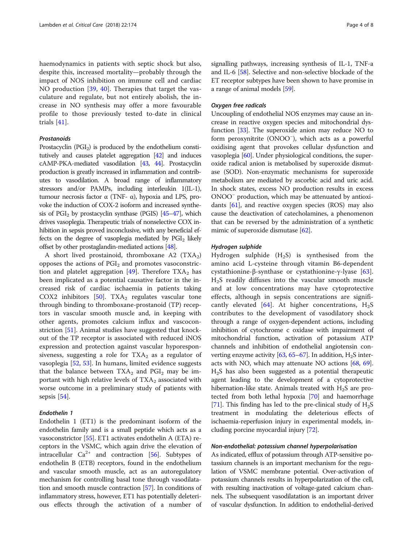haemodynamics in patients with septic shock but also, despite this, increased mortality—probably through the impact of NOS inhibition on immune cell and cardiac NO production [[39,](#page-6-0) [40\]](#page-6-0). Therapies that target the vasculature and regulate, but not entirely abolish, the increase in NO synthesis may offer a more favourable profile to those previously tested to-date in clinical trials [[41\]](#page-6-0).

# Prostanoids

Prostacyclin  $(PGI<sub>2</sub>)$  is produced by the endothelium constitutively and causes platelet aggregation [\[42\]](#page-6-0) and induces cAMP-PKA-mediated vasodilation [\[43](#page-6-0), [44](#page-6-0)]. Prostacyclin production is greatly increased in inflammation and contributes to vasodilation. A broad range of inflammatory stressors and/or PAMPs, including interleukin 1(IL-1), tumour necrosis factor α (TNF- α), hypoxia and LPS, provoke the induction of COX-2 isoform and increased synthesis of  $PGI<sub>2</sub>$  by prostacyclin synthase (PGIS) [\[45](#page-6-0)–[47\]](#page-6-0), which drives vasoplegia. Therapeutic trials of nonselective COX inhibition in sepsis proved inconclusive, with any beneficial effects on the degree of vasoplegia mediated by  $PGI<sub>2</sub>$  likely offset by other prostaglandin-mediated actions [\[48\]](#page-6-0).

A short lived prostainoid, thromboxane A2  $(TXA<sub>2</sub>)$ opposes the actions of  $PGI<sub>2</sub>$  and promotes vasoconstric-tion and platelet aggregation [\[49](#page-6-0)]. Therefore  $TXA_2$  has been implicated as a potential causative factor in the increased risk of cardiac ischaemia in patients taking COX2 inhibitors  $[50]$ . TXA<sub>2</sub> regulates vascular tone through binding to thromboxane-prostanoid (TP) receptors in vascular smooth muscle and, in keeping with other agents, promotes calcium influx and vascoconstriction [[51\]](#page-6-0). Animal studies have suggested that knockout of the TP receptor is associated with reduced iNOS expression and protection against vascular hyporesponsiveness, suggesting a role for  $TXA<sub>2</sub>$  as a regulator of vasoplegia [[52](#page-6-0), [53](#page-6-0)]. In humans, limited evidence suggests that the balance between  $TXA_2$  and  $PGI_2$  may be important with high relative levels of  $TXA<sub>2</sub>$  associated with worse outcome in a preliminary study of patients with sepsis [\[54](#page-6-0)].

# Endothelin 1

Endothelin 1 (ET1) is the predominant isoform of the endothelin family and is a small peptide which acts as a vasoconstrictor [[55](#page-7-0)]. ET1 activates endothelin A (ETA) receptors in the VSMC, which again drive the elevation of intracellular  $Ca^{2+}$  and contraction [\[56\]](#page-7-0). Subtypes of endothelin B (ETB) receptors, found in the endothelium and vascular smooth muscle, act as an autoregulatory mechanism for controlling basal tone through vasodilatation and smooth muscle contraction [[57\]](#page-7-0). In conditions of inflammatory stress, however, ET1 has potentially deleterious effects through the activation of a number of signalling pathways, increasing synthesis of IL-1, TNF-a and IL-6 [\[58\]](#page-7-0). Selective and non-selective blockade of the ET receptor subtypes have been shown to have promise in a range of animal models [\[59\]](#page-7-0).

# Oxygen free radicals

Uncoupling of endothelial NOS enzymes may cause an increase in reactive oxygen species and mitochondrial dysfunction [[33](#page-6-0)]. The superoxide anion may reduce NO to form peroxynitrite (ONOO<sup>−</sup> ), which acts as a powerful oxidising agent that provokes cellular dysfunction and vasoplegia [\[60\]](#page-7-0). Under physiological conditions, the superoxide radical anion is metabolised by superoxide dismutase (SOD). Non-enzymatic mechanisms for superoxide metabolism are mediated by ascorbic acid and uric acid. In shock states, excess NO production results in excess ONOO<sup>−</sup> production, which may be attenuated by antioxidants [[61\]](#page-7-0), and reactive oxygen species (ROS) may also cause the deactivation of catecholamines, a phenomenon that can be reversed by the administration of a synthetic mimic of superoxide dismutase [\[62\]](#page-7-0).

# Hydrogen sulphide

Hydrogen sulphide  $(H_2S)$  is synthesised from the amino acid L-cysteine through vitamin B6-dependent cystathionine-β-synthase or cystathionine-γ-lyase [\[63](#page-7-0)]. H2S readily diffuses into the vascular smooth muscle and at low concentrations may have cytoprotective effects, although in sepsis concentrations are signifi-cantly elevated [[64\]](#page-7-0). At higher concentrations,  $H_2S$ contributes to the development of vasodilatory shock through a range of oxygen-dependent actions, including inhibition of cytochrome c oxidase with impairment of mitochondrial function, activation of potassium ATP channels and inhibition of endothelial angiotensin con-verting enzyme activity [\[63,](#page-7-0) [65](#page-7-0)-[67\]](#page-7-0). In addition,  $H_2S$  inter-acts with NO, which may attenuate NO actions [\[68,](#page-7-0) [69](#page-7-0)].  $H<sub>2</sub>S$  has also been suggested as a potential therapeutic agent leading to the development of a cytoprotective hibernation-like state. Animals treated with  $H_2S$  are protected from both lethal hypoxia [\[70\]](#page-7-0) and haemorrhage [[71](#page-7-0)]. This finding has led to the pre-clinical study of  $H_2S$ treatment in modulating the deleterious effects of ischaemia-reperfusion injury in experimental models, including porcine myocardial injury [\[72\]](#page-7-0).

# Non-endothelial: potassium channel hyperpolarisation

As indicated, efflux of potassium through ATP-sensitive potassium channels is an important mechanism for the regulation of VSMC membrane potential. Over-activation of potassium channels results in hyperpolarization of the cell, with resulting inactivation of voltage-gated calcium channels. The subsequent vasodilatation is an important driver of vascular dysfunction. In addition to endothelial-derived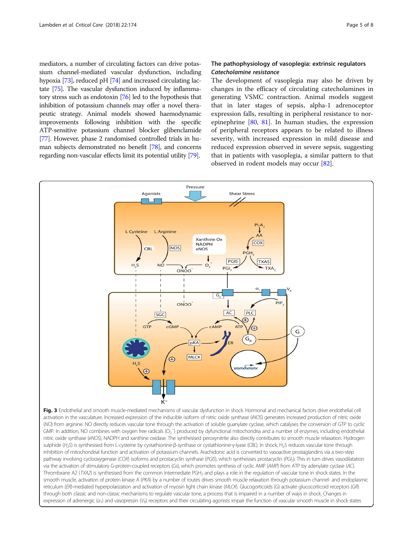<span id="page-4-0"></span>mediators, a number of circulating factors can drive potassium channel-mediated vascular dysfunction, including hypoxia [[73](#page-7-0)], reduced pH [\[74\]](#page-7-0) and increased circulating lactate [\[75\]](#page-7-0). The vascular dysfunction induced by inflammatory stress such as endotoxin [\[76](#page-7-0)] led to the hypothesis that inhibition of potassium channels may offer a novel therapeutic strategy. Animal models showed haemodynamic improvements following inhibition with the specific ATP-sensitive potassium channel blocker glibenclamide [[77](#page-7-0)]. However, phase 2 randomised controlled trials in human subjects demonstrated no benefit [[78\]](#page-7-0), and concerns regarding non-vascular effects limit its potential utility [\[79\]](#page-7-0).

# The pathophysiology of vasoplegia: extrinsic regulators Catecholamine resistance

The development of vasoplegia may also be driven by changes in the efficacy of circulating catecholamines in generating VSMC contraction. Animal models suggest that in later stages of sepsis, alpha-1 adrenoceptor expression falls, resulting in peripheral resistance to norepinephrine [[80,](#page-7-0) [81](#page-7-0)]. In human studies, the expression of peripheral receptors appears to be related to illness severity, with increased expression in mild disease and reduced expression observed in severe sepsis, suggesting that in patients with vasoplegia, a similar pattern to that observed in rodent models may occur [\[82\]](#page-7-0).



Fig. 3 Endothelial and smooth muscle-mediated mechanisms of vascular dysfunction in shock. Hormonal and mechanical factors drive endothelial cell activation in the vasculature. Increased expression of the inducible isoform of nitric oxide synthase (iNOS) generates increased production of nitric oxide (NO) from arginine. NO directly reduces vascular tone through the activation of soluble guanylate cyclase, which catalyses the conversion of GTP to cyclic GMP. In addition, NO combines with oxygen free radicals (O<sub>2</sub><sup>-</sup>) produced by dyfunctional mitochondria and a number of enzymes, including endothelial nitric oxide synthase (eNOS), NADPH and xanthine oxidase. The synthesised peroxynitrite also directly contributes to smooth muscle relaxation. Hydrogen sulphide (H<sub>2</sub>S) is synthesised from L-cysteine by cystathionine-β-synthase or cystathionine-γ-lyase (CBL). In shock, H<sub>2</sub>S reduces vascular tone through inhibition of mitochondrial function and activation of potassium channels. Arachidonic acid is converted to vasoactive prostaglandins via a two-step pathway involving cyclooxygenase (COX) isoforms and prostacyclin synthase (PGIS), which synthesises prostacyclin (PGI<sub>2</sub>). This in turn drives vasodilatation via the activation of stimulatory G-protein-coupled receptors (Gs), which promotes synthesis of cyclic AMP (AMP) from ATP by adenylate cyclase (AC). Thrombxane A2 (TXA2) is synthesised from the common intermediate PGH<sub>2</sub> and plays a role in the regulation of vascular tone in shock states. In the smooth muscle, activation of protein kinase A (PKA) by a number of routes drives smooth muscle relaxation through potassium channel- and endoplasmic reticulum (ER)-mediated hyperpolarization and activation of myosin light chain kinase (MLCK). Glucogorticoids (G) activate glucocorticoid receptors (GR) through both classic and non-classic mechanisms to regulate vascular tone, a process that is impaired in a number of ways in shock. Changes in expression of adrenergic ( $a_1$ ) and vasopressin ( $V_R$ ) receptors and their circulating agonists impair the function of vascular smooth muscle in shock states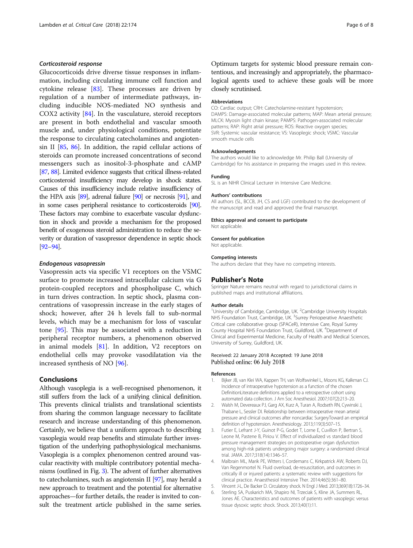# <span id="page-5-0"></span>Corticosteroid response

Glucocorticoids drive diverse tissue responses in inflammation, including circulating immune cell function and cytokine release [\[83](#page-7-0)]. These processes are driven by regulation of a number of intermediate pathways, including inducible NOS-mediated NO synthesis and COX2 activity [\[84\]](#page-7-0). In the vasculature, steroid receptors are present in both endothelial and vascular smooth muscle and, under physiological conditions, potentiate the response to circulating catecholamines and angiotensin II [\[85](#page-7-0), [86](#page-7-0)]. In addition, the rapid cellular actions of steroids can promote increased concentrations of second messengers such as inositol-3-phosphate and cAMP [[87,](#page-7-0) [88\]](#page-7-0). Limited evidence suggests that critical illness-related corticosteroid insufficiency may develop in shock states. Causes of this insufficiency include relative insufficiency of the HPA axis [\[89](#page-7-0)], adrenal failure [\[90](#page-7-0)] or necrosis [[91\]](#page-7-0), and in some cases peripheral resistance to corticosteroids [\[90\]](#page-7-0). These factors may combine to exacerbate vascular dysfunction in shock and provide a mechanism for the proposed benefit of exogenous steroid administration to reduce the severity or duration of vasopressor dependence in septic shock [[92](#page-7-0)–[94\]](#page-7-0).

# Endogenous vasopressin

Vasopressin acts via specific V1 receptors on the VSMC surface to promote increased intracellular calcium via G protein-coupled receptors and phospholipase C, which in turn drives contraction. In septic shock, plasma concentrations of vasopressin increase in the early stages of shock; however, after 24 h levels fall to sub-normal levels, which may be a mechanism for loss of vascular tone [[95](#page-7-0)]. This may be associated with a reduction in peripheral receptor numbers, a phenomenon observed in animal models [\[81\]](#page-7-0). In addition, V2 receptors on endothelial cells may provoke vasodilatation via the increased synthesis of NO [[96](#page-7-0)].

# Conclusions

Although vasoplegia is a well-recognised phenomenon, it still suffers from the lack of a unifying clinical definition. This prevents clinical trialists and translational scientists from sharing the common language necessary to facilitate research and increase understanding of this phenomenon. Certainly, we believe that a uniform approach to describing vasoplegia would reap benefits and stimulate further investigation of the underlying pathophysiological mechanisms. Vasoplegia is a complex phenomenon centred around vascular reactivity with multiple contributory potential mechanisms (outlined in Fig. [3\)](#page-4-0). The advent of further alternatives to catecholamines, such as angiotensin II [\[97](#page-7-0)], may herald a new approach to treatment and the potential for alternative approaches—for further details, the reader is invited to consult the treatment article published in the same series.

Optimum targets for systemic blood pressure remain contentious, and increasingly and appropriately, the pharmacological agents used to achieve these goals will be more closely scrutinised.

#### Abbreviations

CO: Cardiac output; CRH: Catecholamine-resistant hypotension; DAMPS: Damage-associated molecular patterns; MAP: Mean arterial pressure; MLCK: Myosin light chain kinase; PAMPS: Pathogen-associated molecular patterns; RAP: Right atrial pressure; ROS: Reactive oxygen species; SVR: Systemic vascular resistance; VS: Vasoplegic shock; VSMC: Vascular smooth muscle cells

#### Acknowledgements

The authors would like to acknowledge Mr. Philip Ball (University of Cambridge) for his assistance in preparing the images used in this review.

#### Funding

SL is an NIHR Clinical Lecturer in Intensive Care Medicine.

#### Authors' contributions

All authors (SL, BCCB, JH, CS and LGF) contributed to the development of the manuscript and read and approved the final manuscript.

# Ethics approval and consent to participate

Not applicable.

#### Consent for publication

Not applicable.

# Competing interests

The authors declare that they have no competing interests.

# Publisher's Note

Springer Nature remains neutral with regard to jurisdictional claims in published maps and institutional affiliations.

#### Author details

<sup>1</sup>University of Cambridge, Cambridge, UK. <sup>2</sup>Cambridge University Hospitals NHS Foundation Trust, Cambridge, UK. <sup>3</sup>Surrey Perioperative Anaesthetic Critical care collaborative group (SPACeR), Intensive Care, Royal Surrey County Hospital NHS Foundation Trust, Guildford, UK. <sup>4</sup> Department of Clinical and Experimental Medicine, Faculty of Health and Medical Sciences, University of Surrey, Guildford, UK.

### Received: 22 January 2018 Accepted: 19 June 2018 Published online: 06 July 2018

#### References

- 1. Bijker JB, van Klei WA, Kappen TH, van Wolfswinkel L, Moons KG, Kalkman CJ. Incidence of intraoperative hypotension as a function of the chosen DefinitionLiterature definitions applied to a retrospective cohort using automated data collection. J Am Soc Anesthesiol. 2007;107(2):213–20.
- 2. Walsh M, Devereaux PJ, Garg AX, Kurz A, Turan A, Rodseth RN, Cywinski J, Thabane L, Sessler DI. Relationship between intraoperative mean arterial pressure and clinical outcomes after noncardiac SurgeryToward an empirical definition of hypotension. Anesthesiology. 2013;119(3):507–15.
- 3. Futier E, Lefrant J-Y, Guinot P-G, Godet T, Lorne E, Cuvillon P, Bertran S, Leone M, Pastene B, Piriou V. Effect of individualized vs standard blood pressure management strategies on postoperative organ dysfunction among high-risk patients undergoing major surgery: a randomized clinical trial. JAMA. 2017;318(14):1346–57.
- 4. Malbrain ML, Marik PE, Witters I, Cordemans C, Kirkpatrick AW, Roberts DJ, Van Regenmortel N. Fluid overload, de-resuscitation, and outcomes in critically ill or injured patients: a systematic review with suggestions for clinical practice. Anaesthesiol Intensive Ther. 2014;46(5):361–80.
- 5. Vincent J-L, De Backer D. Circulatory shock. N Engl J Med. 2013;369(18):1726–34.
- Sterling SA, Puskarich MA, Shapiro NI, Trzeciak S, Kline JA, Summers RL, Jones AE. Characteristics and outcomes of patients with vasoplegic versus tissue dysoxic septic shock. Shock. 2013;40(1):11.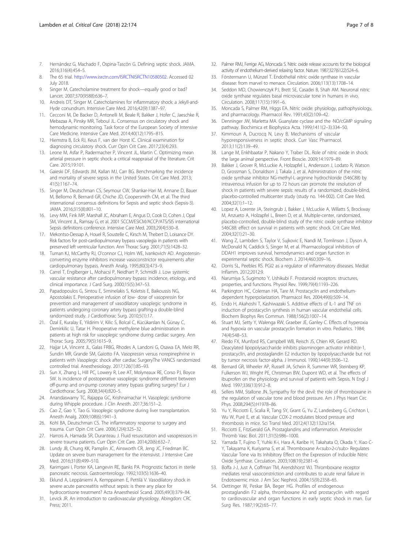- <span id="page-6-0"></span>7. Hernández G, Machado F, Ospina-Tascón G. Defining septic shock. JAMA. 2016;316(4):454–5.
- The 65 trial. [http://www.isrctn.com/ISRCTNISRCTN10580502.](http://www.isrctn.com/ISRCTNISRCTN10580502) Accessed 02 July 2018.
- 9. Singer M. Catecholamine treatment for shock—equally good or bad? Lancet. 2007;370(9588):636–7.
- 10. Andreis DT, Singer M. Catecholamines for inflammatory shock: a Jekyll-and-Hyde conundrum. Intensive Care Med. 2016;42(9):1387–97.
- 11. Cecconi M, De Backer D, Antonelli M, Beale R, Bakker J, Hofer C, Jaeschke R, Mebazaa A, Pinsky MR, Teboul JL. Consensus on circulatory shock and hemodynamic monitoring. Task force of the European Society of Intensive Care Medicine. Intensive Care Med. 2014;40(12):1795–815.
- 12. Hiemstra B, Eck RJ, Keus F, van der Horst IC. Clinical examination for diagnosing circulatory shock. Curr Opin Crit Care. 2017;23(4):293.
- 13. Leone M, Asfar P, Radermacher P, Vincent JL, Martin C. Optimizing mean arterial pressure in septic shock: a critical reappraisal of the literature. Crit Care. 2015;19:101.
- 14. Gaieski DF, Edwards JM, Kallan MJ, Carr BG. Benchmarking the incidence and mortality of severe sepsis in the United States. Crit Care Med. 2013; 41(5):1167–74.
- 15. Singer M, Deutschman CS, Seymour CW, Shankar-Hari M, Annane D, Bauer M, Bellomo R, Bernard GR, Chiche JD, Coopersmith CM, et al. The third international consensus definitions for Sepsis and septic shock (Sepsis-3). JAMA. 2016;315(8):801–10.
- 16. Levy MM, Fink MP, Marshall JC, Abraham E, Angus D, Cook D, Cohen J, Opal SM, Vincent JL, Ramsay G, et al. 2001 SCCM/ESICM/ACCP/ATS/SIS international Sepsis definitions conference. Intensive Care Med. 2003;29(4):530–8.
- 17. Mekontso-Dessap A, Houel R, Soustelle C, Kirsch M, Thebert D, Loisance DY. Risk factors for post-cardiopulmonary bypass vasoplegia in patients with preserved left ventricular function. Ann Thorac Surg. 2001;71(5):1428–32.
- 18. Tuman KJ, McCarthy RJ, O'connor CJ, Holm WE, Ivankovich AD. Angiotensinconverting enzyme inhibitors increase vasoconstrictor requirements after cardiopulmonary bypass. Anesth Analg. 1995;80(3):473–9.
- 19. Carrel T, Englberger L, Mohacsi P, Neidhart P, Schmidli J. Low systemic vascular resistance after cardiopulmonary bypass: incidence, etiology, and clinical importance. J Card Surg. 2000;15(5):347–53.
- 20. Papadopoulos G, Sintou E, Siminelakis S, Koletsis E, Baikoussis NG, Apostolakis E. Perioperative infusion of low- dose of vasopressin for prevention and management of vasodilatory vasoplegic syndrome in patients undergoing coronary artery bypass grafting-a double-blind randomized study. J Cardiothorac Surg. 2010;5(1):17.
- 21. Özal E, Kuralay E, Yildirim V, Kilic S, Bolcal C, Kücükarslan N, Günay C, Demirkilic U, Tatar H. Preoperative methylene blue administration in patients at high risk for vasoplegic syndrome during cardiac surgery. Ann Thorac Surg. 2005;79(5):1615–9.
- 22. Hajjar LA, Vincent JL, Galas FRBG, Rhodes A, Landoni G, Osawa EA, Melo RR, Sundin MR, Grande SM, Gaiotto FA. Vasopressin versus norepinephrine in patients with Vasoplegic shock after cardiac SurgeryThe VANCS randomized controlled trial. Anesthesiology. 2017;126(1):85–93.
- 23. Sun X, Zhang L, Hill PC, Lowery R, Lee AT, Molyneaux RE, Corso PJ, Boyce SW. Is incidence of postoperative vasoplegic syndrome different between off-pump and on-pump coronary artery bypass grafting surgery? Eur J Cardiothorac Surg. 2008;34(4):820–5.
- 24. Anandaswamy TC, Rajappa GC, Krishnamachar H. Vasoplegic syndrome during Whipple procedure. J Clin Anesth. 2017;36:151–2.
- 25. Cao Z, Gao Y, Tao G. Vasoplegic syndrome during liver transplantation. Anesth Analg. 2009;108(6):1941–3.
- 26. Kohl BA, Deutschman CS. The inflammatory response to surgery and trauma. Curr Opin Crit Care. 2006;12(4):325–32.
- 27. Harrois A, Hamada SR, Duranteau J. Fluid resuscitation and vasopressors in severe trauma patients. Curr Opin Crit Care. 2014;20(6):632–7.
- 28. Lundy JB, Chung KK, Pamplin JC, Ainsworth CR, Jeng JC, Friedman BC. Update on severe burn management for the intensivist. J Intensive Care Med. 2016;31(8):499–510.
- 29. Karimgani I, Porter KA, Langevin RE, Banks PA. Prognostic factors in sterile pancreatic necrosis. Gastroenterology. 1992;103(5):1636–40.
- 30. Eklund A, Leppäniemi A, Kemppainen E, Pettilä V. Vasodilatory shock in severe acute pancreatitis without sepsis: is there any place for hydrocortisone treatment? Acta Anaesthesiol Scand. 2005;49(3):379–84.
- 31. Levick JR. An introduction to cardiovascular physiology. Abingdon: CRC Press; 2011.
- 32. Palmer RMJ, Ferrige AG, Moncada S. Nitric oxide release accounts for the biological activity of endothelium-derived relaxing factor. Nature. 1987;327(6122):524–6.
- 33. Förstermann U, Münzel T. Endothelial nitric oxide synthase in vascular disease: from marvel to menace. Circulation. 2006;113(13):1708–14.
- 34. Seddon MD, Chowienczyk PJ, Brett SE, Casadei B, Shah AM. Neuronal nitric oxide synthase regulates basal microvascular tone in humans in vivo. Circulation. 2008;117(15):1991–6.
- 35. Moncada S, Palmer RM, Higgs EA. Nitric oxide: physiology, pathophysiology, and pharmacology. Pharmacol Rev. 1991;43(2):109–42.
- 36. Denninger JW, Marletta MA. Guanylate cyclase and the ·NO/cGMP signaling pathway. Biochimica et Biophysica Acta. 1999;1411(2–3):334–50.
- 37. Kimmoun A, Ducrocq N, Levy B. Mechanisms of vascular hyporesponsiveness in septic shock. Curr Vasc Pharmacol. 2013;11(2):139–49.
- 38. Lange M, Enkhbaatar P, Nakano Y, Traber DL. Role of nitric oxide in shock: the large animal perspective. Front Bioscie. 2009;14:1979–89.
- 39. Bakker J, Grover R, McLuckie A, Holzapfel L, Andersson J, Lodato R, Watson D, Grossman S, Donaldson J, Takala J, et al. Administration of the nitric oxide synthase inhibitor NG-methyl-L-arginine hydrochloride (546C88) by intravenous infusion for up to 72 hours can promote the resolution of shock in patients with severe sepsis: results of a randomized, double-blind, placebo-controlled multicenter study (study no. 144-002). Crit Care Med. 2004;32(1):1–12.
- 40. Lopez A, Lorente JA, Steingrub J, Bakker J, McLuckie A, Willatts S, Brockway M, Anzueto A, Holzapfel L, Breen D, et al. Multiple-center, randomized, placebo-controlled, double-blind study of the nitric oxide synthase inhibitor 546C88: effect on survival in patients with septic shock. Crit Care Med. 2004;32(1):21–30.
- 41. Wang Z, Lambden S, Taylor V, Sujkovic E, Nandi M, Tomlinson J, Dyson A, McDonald N, Caddick S, Singer M, et al. Pharmacological inhibition of DDAH1 improves survival, hemodynamics and organ function in experimental septic shock. Biochem J. 2014;460:309–16.
- 42. Dorris SL, Peebles RS. PGI2 as a regulator of inflammatory diseases. Mediat Inflamm. 2012;2012:9.
- 43. Narumiya S, Sugimoto Y, Ushikubi F. Prostanoid receptors: structures, properties, and functions. Physiol Rev. 1999;79(4):1193–226.
- 44. Parkington HC, Coleman HA, Tare M. Prostacyclin and endotheliumdependent hyperpolarization. Pharmacol Res. 2004;49(6):509–14.
- 45. Endo H, Akahoshi T, Kashiwazaki S. Additive effects of IL-1 and TNF on induction of prostacyclin synthesis in human vascular endothelial cells. Biochem Biophys Res Commun. 1988;156(2):1007–14.
- 46. Stuart MJ, Setty Y, Walenga RW, Graeber JE, Ganley C. Effects of hyperoxia and hypoxia on vascular prostacyclin formation in vitro. Pediatrics. 1984; 74(4):548–53.
- 47. Riedo FX, Munford RS, Campbell WB, Reisch JS, Chien KR, Gerard RD. Deacylated lipopolysaccharide inhibits plasminogen activator inhibitor-1, prostacyclin, and prostaglandin E2 induction by lipopolysaccharide but not by tumor necrosis factor-alpha. J Immunol. 1990;144(9):3506–12.
- 48. Bernard GR, Wheeler AP, Russell JA, Schein R, Summer WR, Steinberg KP, Fulkerson WJ, Wright PE, Christman BW, Dupont WD, et al. The effects of ibuprofen on the physiology and survival of patients with Sepsis. N Engl J Med. 1997;336(13):912–8.
- 49. Sellers MM, Stallone JN. Sympathy for the devil: the role of thromboxane in the regulation of vascular tone and blood pressure. Am J Phys Heart Circ Phys. 2008;294(5):H1978–86.
- 50. Yu Y, Ricciotti E, Scalia R, Tang SY, Grant G, Yu Z, Landesberg G, Crichton I, Wu W, Puré E, et al. Vascular COX-2 modulates blood pressure and thrombosis in mice. Sci Transl Med. 2012;4(132):132ra154.
- 51. Ricciotti E, FitzGerald GA. Prostaglandins and inflammation. Arterioscler Thromb Vasc Biol. 2011;31(5):986–1000.
- 52. Yamada T, Fujino T, Yuhki K-i, Hara A, Karibe H, Takahata O, Okada Y, Xiao C-Y, Takayama K, Kuriyama S, et al. Thromboxane A<sub>2</sub> Regulates Vascular Tone via Its Inhibitory Effect on the Expression of Inducible Nitric Oxide Synthase. Circulation. 2003;108(19):2381–6.
- 53. Boffa J-J, Just A, Coffman TM, Arendshorst WJ. Thromboxane receptor mediates renal vasoconstriction and contributes to acute renal failure in Endotoxemic mice. J Am Soc Nephrol. 2004;15(9):2358–65.
- 54. Oettinger W, Peskar BA, Beger HG. Profiles of endogenous prostaglandin F2 alpha, thromboxane A2 and prostacyclin with regard to cardiovascular and organ functions in early septic shock in man. Eur Surg Res. 1987;19(2):65–77.